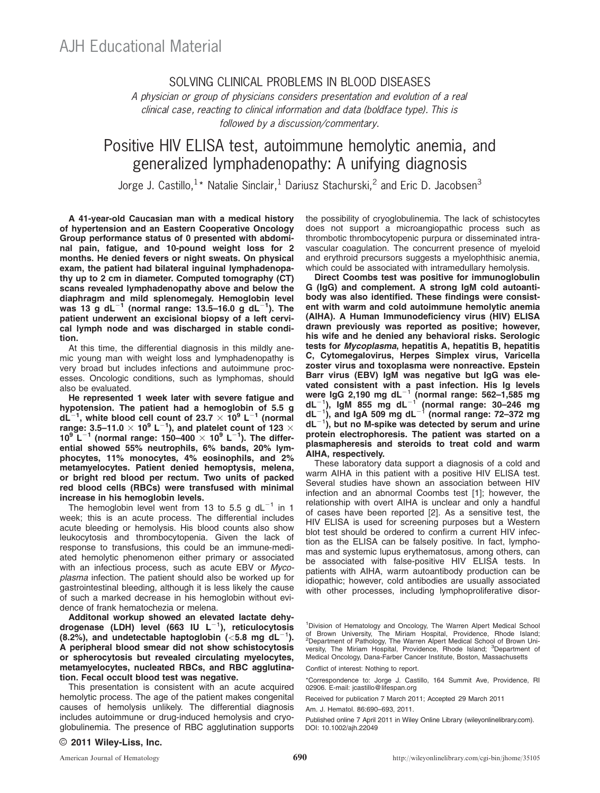## SOLVING CLINICAL PROBLEMS IN BLOOD DISEASES

A physician or group of physicians considers presentation and evolution of a real clinical case, reacting to clinical information and data (boldface type). This is followed by a discussion/commentary.

# Positive HIV ELISA test, autoimmune hemolytic anemia, and generalized lymphadenopathy: A unifying diagnosis

Jorge J. Castillo, <sup>1</sup> \* Natalie Sinclair, <sup>1</sup> Dariusz Stachurski, <sup>2</sup> and Eric D. Jacobsen<sup>3</sup>

A 41-year-old Caucasian man with a medical history of hypertension and an Eastern Cooperative Oncology Group performance status of 0 presented with abdominal pain, fatigue, and 10-pound weight loss for 2 months. He denied fevers or night sweats. On physical exam, the patient had bilateral inguinal lymphadenopathy up to 2 cm in diameter. Computed tomography (CT) scans revealed lymphadenopathy above and below the diaphragm and mild splenomegaly. Hemoglobin level was 13 g dL<sup>-1</sup> (normal range: 13.5-16.0 g dL<sup>-1</sup>). The patient underwent an excisional biopsy of a left cervical lymph node and was discharged in stable condition.

At this time, the differential diagnosis in this mildly anemic young man with weight loss and lymphadenopathy is very broad but includes infections and autoimmune processes. Oncologic conditions, such as lymphomas, should also be evaluated.

He represented 1 week later with severe fatigue and hypotension. The patient had a hemoglobin of 5.5 g  $dL^{-1}$ , white blood cell count of 23.7  $\times$  10<sup>9</sup> L<sup>-1</sup> (normal range: 3.5–11.0  $\times$  10<sup>9</sup> L<sup>-1</sup>), and platelet count of 123  $\times$ <br>10<sup>9</sup> L<sup>-1</sup> (normal range: 150–400  $\times$  10<sup>9</sup> L<sup>-1</sup>). The differential showed 55% neutrophils, 6% bands, 20% lymphocytes, 11% monocytes, 4% eosinophils, and 2% metamyelocytes. Patient denied hemoptysis, melena, or bright red blood per rectum. Two units of packed red blood cells (RBCs) were transfused with minimal increase in his hemoglobin levels.

The hemoglobin level went from 13 to 5.5 g  $dL^{-1}$  in 1 week; this is an acute process. The differential includes acute bleeding or hemolysis. His blood counts also show leukocytosis and thrombocytopenia. Given the lack of response to transfusions, this could be an immune-mediated hemolytic phenomenon either primary or associated with an infectious process, such as acute EBV or Mycoplasma infection. The patient should also be worked up for gastrointestinal bleeding, although it is less likely the cause of such a marked decrease in his hemoglobin without evidence of frank hematochezia or melena.

Additonal workup showed an elevated lactate dehydrogenase (LDH) level (663 IU  $L^{-1}$ ), reticulocytosis (8.2%), and undetectable haptoglobin ( $<$ 5.8 mg dL<sup>-1</sup>). A peripheral blood smear did not show schistocytosis or spherocytosis but revealed circulating myelocytes, metamyelocytes, nucleated RBCs, and RBC agglutination. Fecal occult blood test was negative.

This presentation is consistent with an acute acquired hemolytic process. The age of the patient makes congenital causes of hemolysis unlikely. The differential diagnosis includes autoimmune or drug-induced hemolysis and cryoglobulinemia. The presence of RBC agglutination supports the possibility of cryoglobulinemia. The lack of schistocytes does not support a microangiopathic process such as thrombotic thrombocytopenic purpura or disseminated intravascular coagulation. The concurrent presence of myeloid and erythroid precursors suggests a myelophthisic anemia, which could be associated with intramedullary hemolysis.

Direct Coombs test was positive for immunoglobulin G (IgG) and complement. A strong IgM cold autoantibody was also identified. These findings were consistent with warm and cold autoimmune hemolytic anemia (AIHA). A Human Immunodeficiency virus (HIV) ELISA drawn previously was reported as positive; however, his wife and he denied any behavioral risks. Serologic tests for Mycoplasma, hepatitis A, hepatitis B, hepatitis C, Cytomegalovirus, Herpes Simplex virus, Varicella zoster virus and toxoplasma were nonreactive. Epstein Barr virus (EBV) IgM was negative but IgG was elevated consistent with a past infection. His Ig levels were IgG 2,190 mg dL $^{-1}$  (normal range: 562–1,585 mg dL $^{-1}$ ), IgM 855 mg dL $^{-1}$  (normal range: 30–246 mg dL $^{-1}$ ), and IgA 509 mg dL $^{-1}$  (normal range: 72–372 mg dL $^{-1}$ ), but no M-spike was detected by serum and urine protein electrophoresis. The patient was started on a plasmapheresis and steroids to treat cold and warm AIHA, respectively.

These laboratory data support a diagnosis of a cold and warm AIHA in this patient with a positive HIV ELISA test. Several studies have shown an association between HIV infection and an abnormal Coombs test [1]; however, the relationship with overt AIHA is unclear and only a handful of cases have been reported [2]. As a sensitive test, the HIV ELISA is used for screening purposes but a Western blot test should be ordered to confirm a current HIV infection as the ELISA can be falsely positive. In fact, lymphomas and systemic lupus erythematosus, among others, can be associated with false-positive HIV ELISA tests. In patients with AIHA, warm autoantibody production can be idiopathic; however, cold antibodies are usually associated with other processes, including lymphoproliferative disor-

Conflict of interest: Nothing to report.

<sup>1</sup> Division of Hematology and Oncology, The Warren Alpert Medical School of Brown University, The Miriam Hospital, Providence, Rhode Island; <sup>2</sup>Department of Pathology, The Warren Alpert Medical School of Brown Uni-<br>versity, The Miriam Hospital, Providence, Rhode Island; <sup>3</sup>Department of Medical Oncology, Dana-Farber Cancer Institute, Boston, Massachusetts

<sup>\*</sup>Correspondence to: Jorge J. Castillo, 164 Summit Ave, Providence, RI 02906. E-mail: jcastillo@lifespan.org

Received for publication 7 March 2011; Accepted 29 March 2011

Am. J. Hematol. 86:690–693, 2011.

Published online 7 April 2011 in Wiley Online Library (wileyonlinelibrary.com). DOI: 10.1002/ajh.22049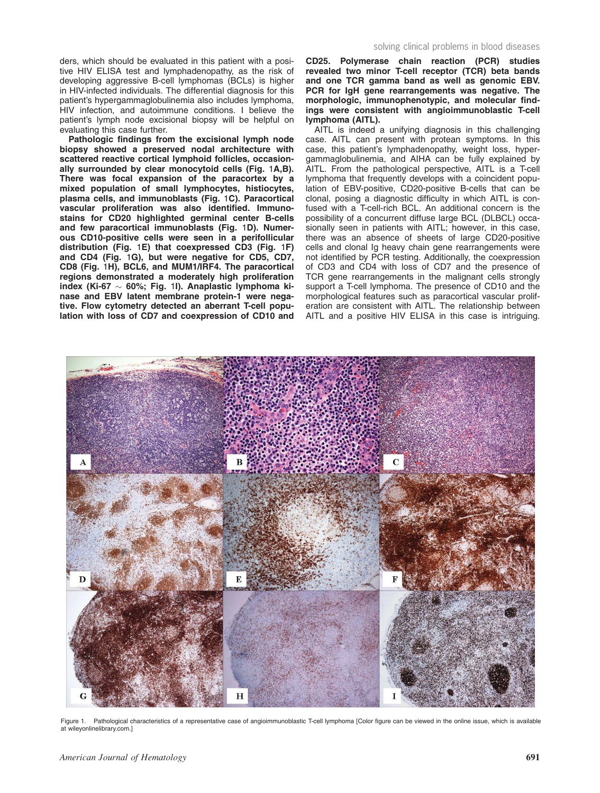ders, which should be evaluated in this patient with a positive HIV ELISA test and lymphadenopathy, as the risk of developing aggressive B-cell lymphomas (BCLs) is higher in HIV-infected individuals. The differential diagnosis for this patient's hypergammaglobulinemia also includes lymphoma, HIV infection, and autoimmune conditions. I believe the patient's lymph node excisional biopsy will be helpful on evaluating this case further.

Pathologic findings from the excisional lymph node biopsy showed a preserved nodal architecture with scattered reactive cortical lymphoid follicles, occasionally surrounded by clear monocytoid cells (Fig. 1A,B). There was focal expansion of the paracortex by a mixed population of small lymphocytes, histiocytes, plasma cells, and immunoblasts (Fig. 1C). Paracortical vascular proliferation was also identified. Immunostains for CD20 highlighted germinal center B-cells and few paracortical immunoblasts (Fig. 1D). Numerous CD10-positive cells were seen in a perifollicular distribution (Fig. 1E) that coexpressed CD3 (Fig. 1F) and CD4 (Fig. 1G), but were negative for CD5, CD7, CD8 (Fig. 1H), BCL6, and MUM1/IRF4. The paracortical regions demonstrated a moderately high proliferation index (Ki-67  $\sim$  60%; Fig. 1I). Anaplastic lymphoma kinase and EBV latent membrane protein-1 were negative. Flow cytometry detected an aberrant T-cell population with loss of CD7 and coexpression of CD10 and CD25. Polymerase chain reaction (PCR) studies revealed two minor T-cell receptor (TCR) beta bands and one TCR gamma band as well as genomic EBV. PCR for IgH gene rearrangements was negative. The morphologic, immunophenotypic, and molecular findings were consistent with angioimmunoblastic T-cell lymphoma (AITL).

AITL is indeed a unifying diagnosis in this challenging case. AITL can present with protean symptoms. In this case, this patient's lymphadenopathy, weight loss, hypergammaglobulinemia, and AIHA can be fully explained by AITL. From the pathological perspective, AITL is a T-cell lymphoma that frequently develops with a coincident population of EBV-positive, CD20-positive B-cells that can be clonal, posing a diagnostic difficulty in which AITL is confused with a T-cell-rich BCL. An additional concern is the possibility of a concurrent diffuse large BCL (DLBCL) occasionally seen in patients with AITL; however, in this case, there was an absence of sheets of large CD20-positive cells and clonal Ig heavy chain gene rearrangements were not identified by PCR testing. Additionally, the coexpression of CD3 and CD4 with loss of CD7 and the presence of TCR gene rearrangements in the malignant cells strongly support a T-cell lymphoma. The presence of CD10 and the morphological features such as paracortical vascular proliferation are consistent with AITL. The relationship between AITL and a positive HIV ELISA in this case is intriguing.



Figure 1. Pathological characteristics of a representative case of angioimmunoblastic T-cell lymphoma [Color figure can be viewed in the online issue, which is available at wileyonlinelibrary.com.]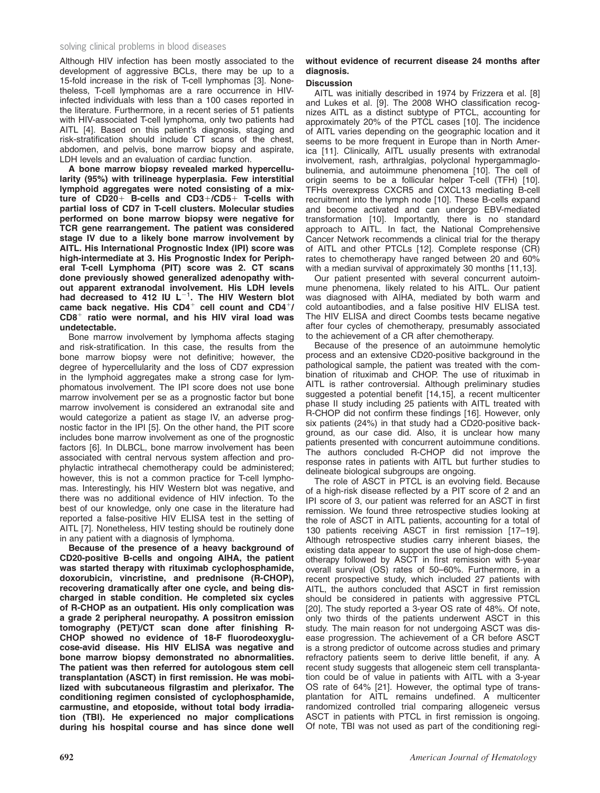## solving clinical problems in blood diseases

Although HIV infection has been mostly associated to the development of aggressive BCLs, there may be up to a 15-fold increase in the risk of T-cell lymphomas [3]. Nonetheless, T-cell lymphomas are a rare occurrence in HIVinfected individuals with less than a 100 cases reported in the literature. Furthermore, in a recent series of 51 patients with HIV-associated T-cell lymphoma, only two patients had AITL [4]. Based on this patient's diagnosis, staging and risk-stratification should include CT scans of the chest, abdomen, and pelvis, bone marrow biopsy and aspirate, LDH levels and an evaluation of cardiac function.

A bone marrow biopsy revealed marked hypercellularity (95%) with trilineage hyperplasia. Few interstitial lymphoid aggregates were noted consisting of a mixture of  $CD20+$  B-cells and  $CD3+/CD5+$  T-cells with partial loss of CD7 in T-cell clusters. Molecular studies performed on bone marrow biopsy were negative for TCR gene rearrangement. The patient was considered stage IV due to a likely bone marrow involvement by AITL. His International Prognostic Index (IPI) score was high-intermediate at 3. His Prognostic Index for Peripheral T-cell Lymphoma (PIT) score was 2. CT scans done previously showed generalized adenopathy without apparent extranodal involvement. His LDH levels had decreased to 412 IU  $L^{-1}$ . The HIV Western blot came back negative. His  $CD4^+$  cell count and  $CD4^+/$  $CD8<sup>+</sup>$  ratio were normal, and his HIV viral load was undetectable.

Bone marrow involvement by lymphoma affects staging and risk-stratification. In this case, the results from the bone marrow biopsy were not definitive; however, the degree of hypercellularity and the loss of CD7 expression in the lymphoid aggregates make a strong case for lymphomatous involvement. The IPI score does not use bone marrow involvement per se as a prognostic factor but bone marrow involvement is considered an extranodal site and would categorize a patient as stage IV, an adverse prognostic factor in the IPI [5]. On the other hand, the PIT score includes bone marrow involvement as one of the prognostic factors [6]. In DLBCL, bone marrow involvement has been associated with central nervous system affection and prophylactic intrathecal chemotherapy could be administered; however, this is not a common practice for T-cell lymphomas. Interestingly, his HIV Western blot was negative, and there was no additional evidence of HIV infection. To the best of our knowledge, only one case in the literature had reported a false-positive HIV ELISA test in the setting of AITL [7]. Nonetheless, HIV testing should be routinely done in any patient with a diagnosis of lymphoma.

Because of the presence of a heavy background of CD20-positive B-cells and ongoing AIHA, the patient was started therapy with rituximab cyclophosphamide, doxorubicin, vincristine, and prednisone (R-CHOP), recovering dramatically after one cycle, and being discharged in stable condition. He completed six cycles of R-CHOP as an outpatient. His only complication was a grade 2 peripheral neuropathy. A possitron emission tomography (PET)/CT scan done after finishing R-CHOP showed no evidence of 18-F fluorodeoxyglucose-avid disease. His HIV ELISA was negative and bone marrow biopsy demonstrated no abnormalities. The patient was then referred for autologous stem cell transplantation (ASCT) in first remission. He was mobilized with subcutaneous filgrastim and plerixafor. The conditioning regimen consisted of cyclophosphamide, carmustine, and etoposide, without total body irradiation (TBI). He experienced no major complications during his hospital course and has since done well

## without evidence of recurrent disease 24 months after diagnosis.

## **Discussion**

AITL was initially described in 1974 by Frizzera et al. [8] and Lukes et al. [9]. The 2008 WHO classification recognizes AITL as a distinct subtype of PTCL, accounting for approximately 20% of the PTCL cases [10]. The incidence of AITL varies depending on the geographic location and it seems to be more frequent in Europe than in North America [11]. Clinically, AITL usually presents with extranodal involvement, rash, arthralgias, polyclonal hypergammaglobulinemia, and autoimmune phenomena [10]. The cell of origin seems to be a follicular helper T-cell (TFH) [10]. TFHs overexpress CXCR5 and CXCL13 mediating B-cell recruitment into the lymph node [10]. These B-cells expand and become activated and can undergo EBV-mediated transformation [10]. Importantly, there is no standard approach to AITL. In fact, the National Comprehensive Cancer Network recommends a clinical trial for the therapy of AITL and other PTCLs [12]. Complete response (CR) rates to chemotherapy have ranged between 20 and 60% with a median survival of approximately 30 months [11,13].

Our patient presented with several concurrent autoimmune phenomena, likely related to his AITL. Our patient was diagnosed with AIHA, mediated by both warm and cold autoantibodies, and a false positive HIV ELISA test. The HIV ELISA and direct Coombs tests became negative after four cycles of chemotherapy, presumably associated to the achievement of a CR after chemotherapy.

Because of the presence of an autoimmune hemolytic process and an extensive CD20-positive background in the pathological sample, the patient was treated with the combination of rituximab and CHOP. The use of rituximab in AITL is rather controversial. Although preliminary studies suggested a potential benefit [14,15], a recent multicenter phase II study including 25 patients with AITL treated with R-CHOP did not confirm these findings [16]. However, only six patients (24%) in that study had a CD20-positive background, as our case did. Also, it is unclear how many patients presented with concurrent autoimmune conditions. The authors concluded R-CHOP did not improve the response rates in patients with AITL but further studies to delineate biological subgroups are ongoing.

The role of ASCT in PTCL is an evolving field. Because of a high-risk disease reflected by a PIT score of 2 and an IPI score of 3, our patient was referred for an ASCT in first remission. We found three retrospective studies looking at the role of ASCT in AITL patients, accounting for a total of 130 patients receiving ASCT in first remission [17–19]. Although retrospective studies carry inherent biases, the existing data appear to support the use of high-dose chemotherapy followed by ASCT in first remission with 5-year overall survival (OS) rates of 50–60%. Furthermore, in a recent prospective study, which included 27 patients with AITL, the authors concluded that ASCT in first remission should be considered in patients with aggressive PTCL [20]. The study reported a 3-year OS rate of 48%. Of note, only two thirds of the patients underwent ASCT in this study. The main reason for not undergoing ASCT was disease progression. The achievement of a CR before ASCT is a strong predictor of outcome across studies and primary refractory patients seem to derive little benefit, if any. A recent study suggests that allogeneic stem cell transplantation could be of value in patients with AITL with a 3-year OS rate of 64% [21]. However, the optimal type of transplantation for AITL remains undefined. A multicenter randomized controlled trial comparing allogeneic versus ASCT in patients with PTCL in first remission is ongoing. Of note, TBI was not used as part of the conditioning regi